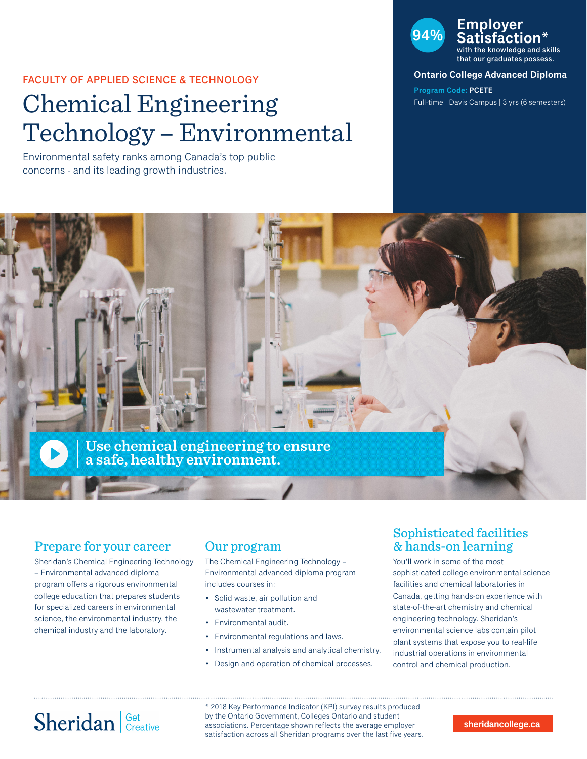### FACULTY OF APPLIED SCIENCE & TECHNOLOGY

# Chemical Engineering Technology – Environmental

Environmental safety ranks among Canada's top public concerns - and its leading growth industries.

## **94% Employer Satisfaction\***

the knowledge and skills that our graduates possess.

### **Ontario College Advanced Diploma**

**Program Code: PCETE** Full-time | Davis Campus | 3 yrs (6 semesters)



## Prepare for your career

Sheridan's Chemical Engineering Technology – Environmental advanced diploma program offers a rigorous environmental college education that prepares students for specialized careers in environmental science, the environmental industry, the chemical industry and the laboratory.

## Our program

The Chemical Engineering Technology – Environmental advanced diploma program includes courses in:

- Solid waste, air pollution and wastewater treatment.
- Environmental audit.
- Environmental regulations and laws.
- Instrumental analysis and analytical chemistry.
- Design and operation of chemical processes.

## Sophisticated facilities & hands-on learning

You'll work in some of the most sophisticated college environmental science facilities and chemical laboratories in Canada, getting hands-on experience with state-of-the-art chemistry and chemical engineering technology. Sheridan's environmental science labs contain pilot plant systems that expose you to real-life industrial operations in environmental control and chemical production.

# Sheridan Get Creative

\* 2018 Key Performance Indicator (KPI) survey results produced by the Ontario Government, Colleges Ontario and student associations. Percentage shown reflects the average employer satisfaction across all Sheridan programs over the last five years.